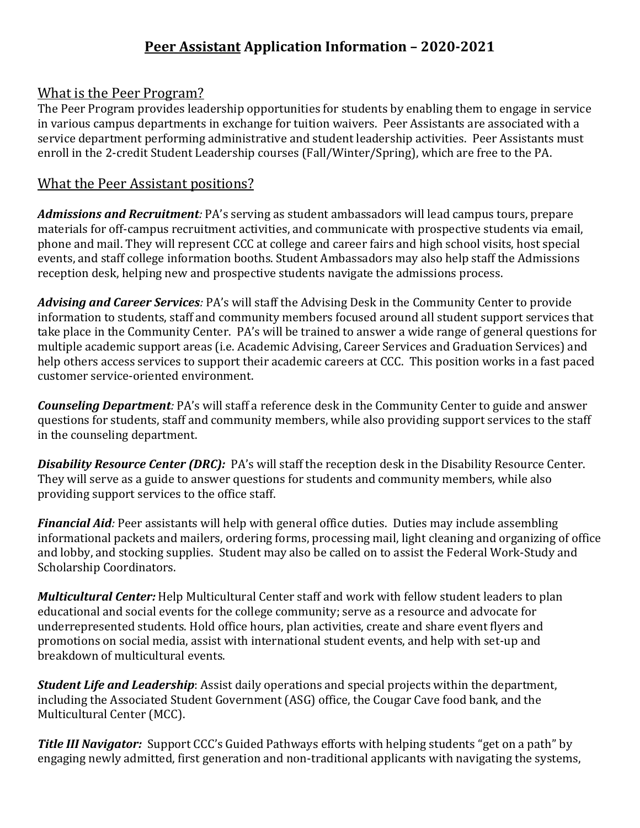## **Peer Assistant Application Information – 2020-2021**

### What is the Peer Program?

The Peer Program provides leadership opportunities for students by enabling them to engage in service in various campus departments in exchange for tuition waivers. Peer Assistants are associated with a service department performing administrative and student leadership activities. Peer Assistants must enroll in the 2-credit Student Leadership courses (Fall/Winter/Spring), which are free to the PA.

### What the Peer Assistant positions?

*Admissions and Recruitment:* PA's serving as student ambassadors will lead campus tours, prepare materials for off-campus recruitment activities, and communicate with prospective students via email, phone and mail. They will represent CCC at college and career fairs and high school visits, host special events, and staff college information booths. Student Ambassadors may also help staff the Admissions reception desk, helping new and prospective students navigate the admissions process.

*Advising and Career Services:* PA's will staff the Advising Desk in the Community Center to provide information to students, staff and community members focused around all student support services that take place in the Community Center. PA's will be trained to answer a wide range of general questions for multiple academic support areas (i.e. Academic Advising, Career Services and Graduation Services) and help others access services to support their academic careers at CCC. This position works in a fast paced customer service-oriented environment.

*Counseling Department:* PA's will staff a reference desk in the Community Center to guide and answer questions for students, staff and community members, while also providing support services to the staff in the counseling department.

**Disability Resource Center (DRC):** PA's will staff the reception desk in the Disability Resource Center. They will serve as a guide to answer questions for students and community members, while also providing support services to the office staff.

*Financial Aid:* Peer assistants will help with general office duties. Duties may include assembling informational packets and mailers, ordering forms, processing mail, light cleaning and organizing of office and lobby, and stocking supplies. Student may also be called on to assist the Federal Work-Study and Scholarship Coordinators.

*Multicultural Center:* Help Multicultural Center staff and work with fellow student leaders to plan educational and social events for the college community; serve as a resource and advocate for underrepresented students. Hold office hours, plan activities, create and share event flyers and promotions on social media, assist with international student events, and help with set-up and breakdown of multicultural events.

*Student Life and Leadership*: Assist daily operations and special projects within the department, including the Associated Student Government (ASG) office, the Cougar Cave food bank, and the Multicultural Center (MCC).

*Title III Navigator:* Support CCC's Guided Pathways efforts with helping students "get on a path" by engaging newly admitted, first generation and non-traditional applicants with navigating the systems,